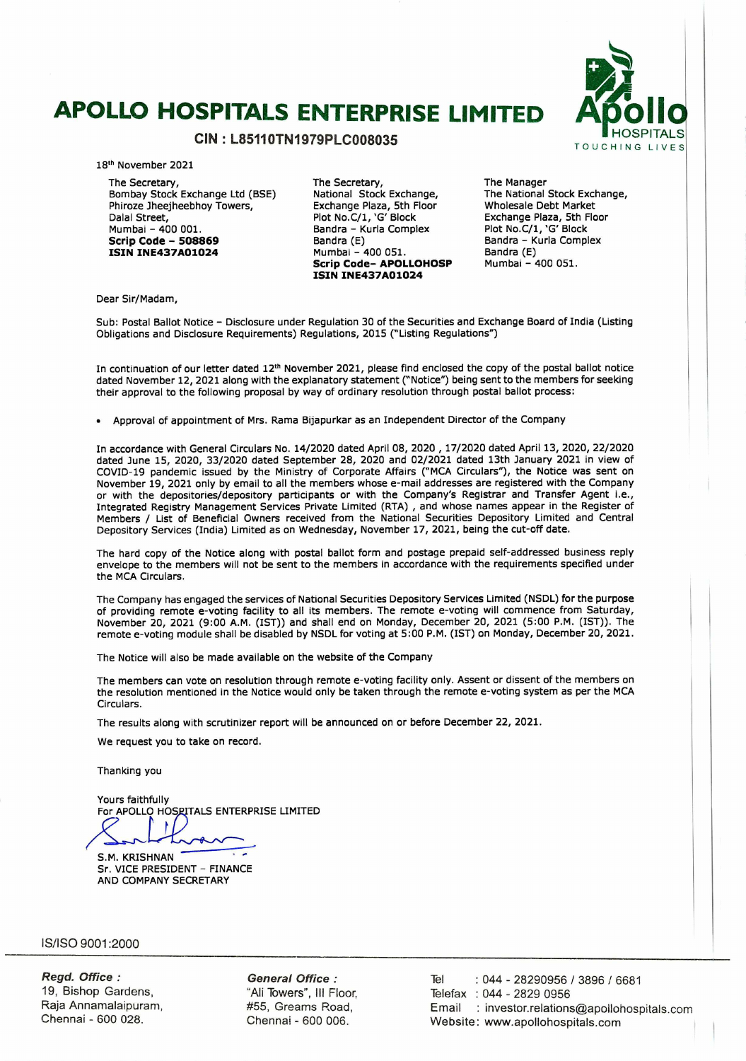# **APOLLO HOSPITALS ENTERPRISE LIMITED**



18th November 2021

The Secretary, Bombay Stock Exchange Ltd (BSE) Phiroze 3heejheebhoy Towers, Dalal Street, Mumbai -400 001. **Scrip Code** - **<sup>508869</sup> ISIN INE437A01024** 

The Secretary, National Stock Exchange, Exchange Plaza, 5th Floor Plot No.C/1, 'G' Block Bandra - Kurla Complex Bandra (E) Mumbai - 400 051. **Scrip Code- APOLLOHOSP ISIN INE437A01024** 

The Manager The National Stock Exchange, Wholesale Debt Market Exchange Plaza, 5th Floor Plot No.C/1, 'G' Block Bandra - Kurla Complex Bandra (E) Mumbai - 400 051.

Dear Sir/Madam,

Sub: Postal Ballot Notice - Disclosure under Regulation 30 of the Securities and Exchange Board of India (Listing Obligations and Disclosure Requirements) Regulations, 2015 ("Listing Regulations")

In continuation of our letter dated 12" November 2021, please find enclosed the copy of the postal ballot notice dated November 12, 2021 along with the explanatory statement ("Notice") being sent to the members for seeking their approval to the following proposal by way of ordinary resolution through postal ballot process:

. Approval of appointment of Mrs. Rama Bijapurkar as an Independent Director of the Company

In accordance with General Circulars No. 14/2020 dated April 08, 2020 , 17/2020 dated April 13, 2020, 22/2020 dated June 15, 2020, 33/2020 dated September 28, 2020 and 02/2021 dated 13th January 2021 in view of COVID-19 pandemic issued by the Ministry of Corporate Affairs ("MCA Circulars"), the Notice was sent on November 19, 2021 only by email to all the members whose e-mail addresses are registered with the Company or with the depositories/depository participants or with the Company's Registrar and Transfer Agent i.e., Integrated Registry Management Services Private Limited (RTA) , and whose names appear in the Register of Members / List of Beneficial Owners received from the National Securities Depository Limited and Central Depository Services (India) Limited as on Wednesday, November 17, 2021, being the cut-off date.

The hard copy of the Notice along with postal ballot form and postage prepaid self-addressed business reply envelope to the members will not be sent to the members in accordance with the requirements specified under the MCA Circulars.

The Company has engaged the services of National Securities Depository Services Limited (NSDL) for the purpose of providing remote e-voting facility to all its members. The remote e-voting will commence from Saturday, November 20, 2021 (9:00 AM. (1ST)) and shall end on Monday, December 20, 2021 (5:00 P.M. (1ST)). The remote e-voting module shall be disabled by NSDL for voting at 5:00 P.M. (1ST) on Monday, December 20, 2021.

The Notice will also be made available on the website of the Company

The members can vote on resolution through remote e-voting facility only. Assent or dissent of the members on the resolution mentioned in the Notice would only be taken through the remote e-voting system as per the MCA Circulars.

The results along with scrutinizer report will be announced on or before December 22, 2021.

We request you to take on record.

Thanking you

Yours faithfully For APOLLO HOSPITALS ENTERPRISE LIMITED

S.M. KRISHNAN

Sr. VICE PRESIDENT - FINANCE AND COMPANY SECRETARY

IS/ISO 9001:2000

**Regd. Office:**  19, Bishop Gardens, Raja Annamalaipuram, Chennai - 600 028.

**General Office**  "All Towers", III Floor, #55, Creams Road, Chennal - 600 006.

Tel : 044 - 28290956 / 3896 / 6681 Telefax : 044 - 2829 0956 Email : investor.relations@apollohospitals.com Website: www.apollohospitals.com

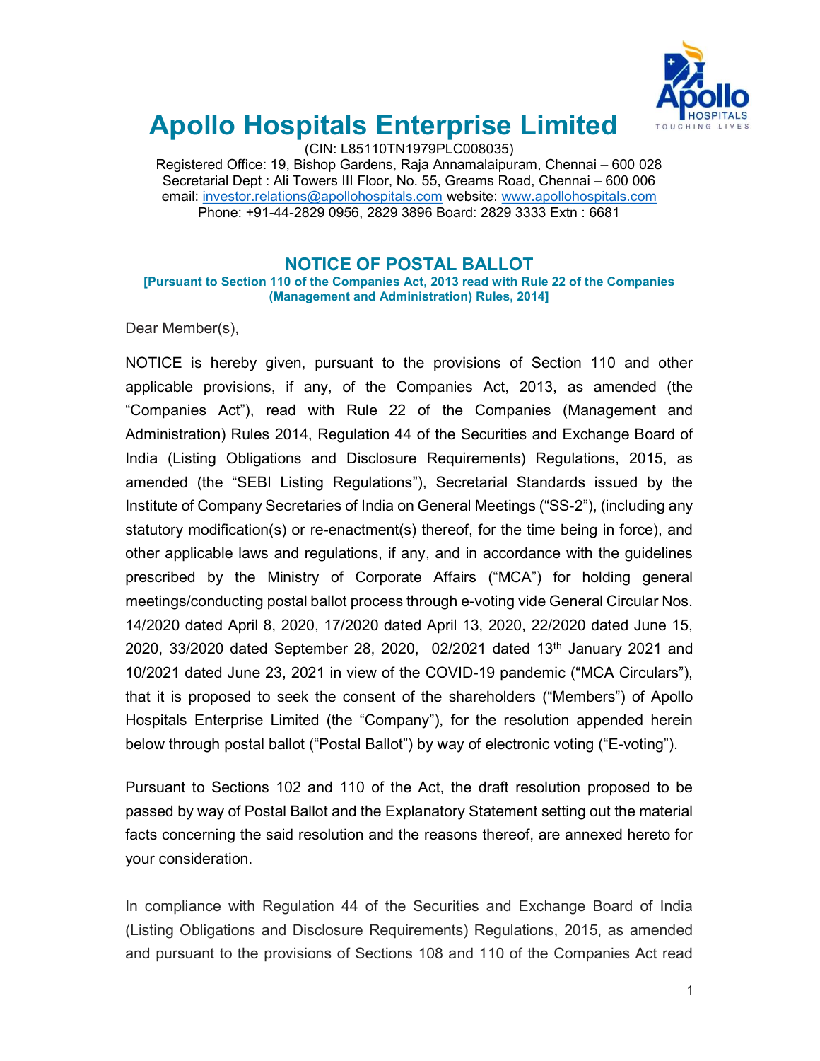

# Apollo Hospitals Enterprise Limited

(CIN: L85110TN1979PLC008035)

Registered Office: 19, Bishop Gardens, Raja Annamalaipuram, Chennai – 600 028 Secretarial Dept : Ali Towers III Floor, No. 55, Greams Road, Chennai – 600 006 email: investor.relations@apollohospitals.com website: www.apollohospitals.com Phone: +91-44-2829 0956, 2829 3896 Board: 2829 3333 Extn : 6681

## NOTICE OF POSTAL BALLOT

[Pursuant to Section 110 of the Companies Act, 2013 read with Rule 22 of the Companies (Management and Administration) Rules, 2014]

Dear Member(s),

NOTICE is hereby given, pursuant to the provisions of Section 110 and other applicable provisions, if any, of the Companies Act, 2013, as amended (the "Companies Act"), read with Rule 22 of the Companies (Management and Administration) Rules 2014, Regulation 44 of the Securities and Exchange Board of India (Listing Obligations and Disclosure Requirements) Regulations, 2015, as amended (the "SEBI Listing Regulations"), Secretarial Standards issued by the Institute of Company Secretaries of India on General Meetings ("SS-2"), (including any statutory modification(s) or re-enactment(s) thereof, for the time being in force), and other applicable laws and regulations, if any, and in accordance with the guidelines prescribed by the Ministry of Corporate Affairs ("MCA") for holding general meetings/conducting postal ballot process through e-voting vide General Circular Nos. 14/2020 dated April 8, 2020, 17/2020 dated April 13, 2020, 22/2020 dated June 15, 2020, 33/2020 dated September 28, 2020, 02/2021 dated  $13<sup>th</sup>$  January 2021 and 10/2021 dated June 23, 2021 in view of the COVID-19 pandemic ("MCA Circulars"), that it is proposed to seek the consent of the shareholders ("Members") of Apollo Hospitals Enterprise Limited (the "Company"), for the resolution appended herein below through postal ballot ("Postal Ballot") by way of electronic voting ("E-voting").

Pursuant to Sections 102 and 110 of the Act, the draft resolution proposed to be passed by way of Postal Ballot and the Explanatory Statement setting out the material facts concerning the said resolution and the reasons thereof, are annexed hereto for your consideration.

In compliance with Regulation 44 of the Securities and Exchange Board of India (Listing Obligations and Disclosure Requirements) Regulations, 2015, as amended and pursuant to the provisions of Sections 108 and 110 of the Companies Act read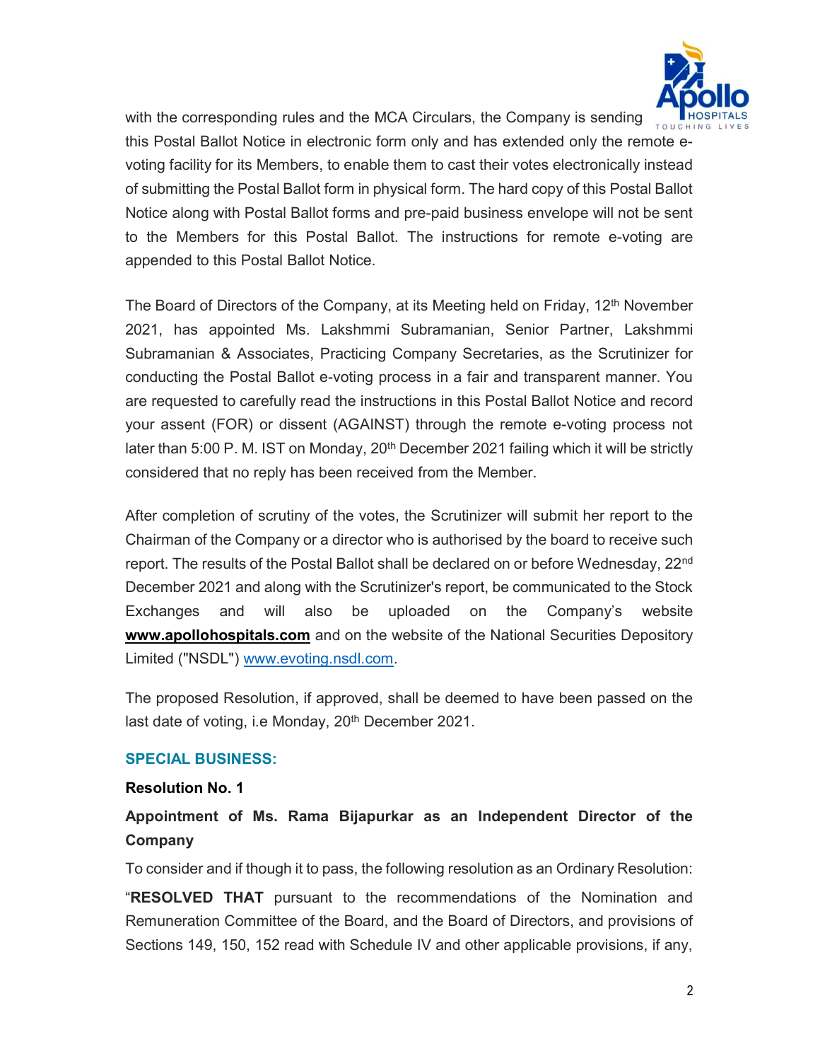

with the corresponding rules and the MCA Circulars, the Company is sending this Postal Ballot Notice in electronic form only and has extended only the remote evoting facility for its Members, to enable them to cast their votes electronically instead of submitting the Postal Ballot form in physical form. The hard copy of this Postal Ballot Notice along with Postal Ballot forms and pre-paid business envelope will not be sent to the Members for this Postal Ballot. The instructions for remote e-voting are appended to this Postal Ballot Notice.

The Board of Directors of the Company, at its Meeting held on Friday, 12<sup>th</sup> November 2021, has appointed Ms. Lakshmmi Subramanian, Senior Partner, Lakshmmi Subramanian & Associates, Practicing Company Secretaries, as the Scrutinizer for conducting the Postal Ballot e-voting process in a fair and transparent manner. You are requested to carefully read the instructions in this Postal Ballot Notice and record your assent (FOR) or dissent (AGAINST) through the remote e-voting process not later than 5:00 P. M. IST on Monday, 20<sup>th</sup> December 2021 failing which it will be strictly considered that no reply has been received from the Member.

After completion of scrutiny of the votes, the Scrutinizer will submit her report to the Chairman of the Company or a director who is authorised by the board to receive such report. The results of the Postal Ballot shall be declared on or before Wednesday, 22<sup>nd</sup> December 2021 and along with the Scrutinizer's report, be communicated to the Stock Exchanges and will also be uploaded on the Company's website www.apollohospitals.com and on the website of the National Securities Depository Limited ("NSDL") www.evoting.nsdl.com.

The proposed Resolution, if approved, shall be deemed to have been passed on the last date of voting, i.e Monday, 20<sup>th</sup> December 2021.

### SPECIAL BUSINESS:

#### Resolution No. 1

# Appointment of Ms. Rama Bijapurkar as an Independent Director of the Company

To consider and if though it to pass, the following resolution as an Ordinary Resolution:

"RESOLVED THAT pursuant to the recommendations of the Nomination and Remuneration Committee of the Board, and the Board of Directors, and provisions of Sections 149, 150, 152 read with Schedule IV and other applicable provisions, if any,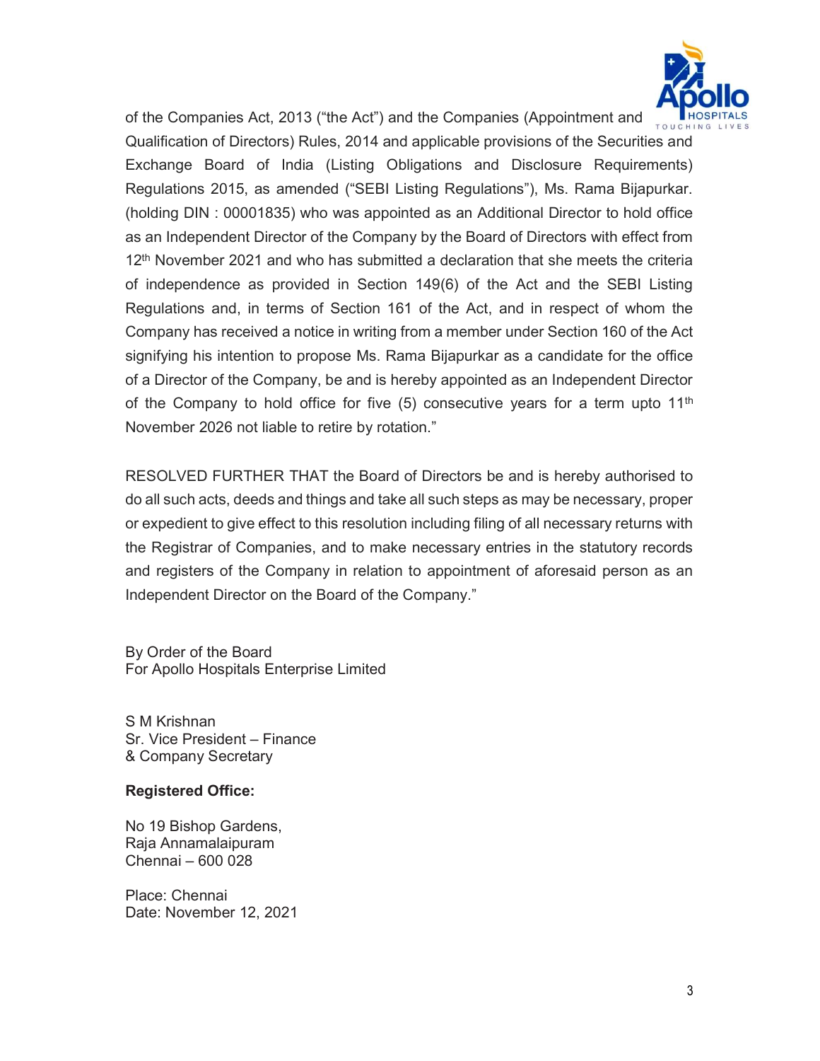

of the Companies Act, 2013 ("the Act") and the Companies (Appointment and Qualification of Directors) Rules, 2014 and applicable provisions of the Securities and Exchange Board of India (Listing Obligations and Disclosure Requirements) Regulations 2015, as amended ("SEBI Listing Regulations"), Ms. Rama Bijapurkar. (holding DIN : 00001835) who was appointed as an Additional Director to hold office as an Independent Director of the Company by the Board of Directors with effect from 12th November 2021 and who has submitted a declaration that she meets the criteria of independence as provided in Section 149(6) of the Act and the SEBI Listing Regulations and, in terms of Section 161 of the Act, and in respect of whom the Company has received a notice in writing from a member under Section 160 of the Act signifying his intention to propose Ms. Rama Bijapurkar as a candidate for the office of a Director of the Company, be and is hereby appointed as an Independent Director of the Company to hold office for five  $(5)$  consecutive years for a term upto 11<sup>th</sup> November 2026 not liable to retire by rotation."

RESOLVED FURTHER THAT the Board of Directors be and is hereby authorised to do all such acts, deeds and things and take all such steps as may be necessary, proper or expedient to give effect to this resolution including filing of all necessary returns with the Registrar of Companies, and to make necessary entries in the statutory records and registers of the Company in relation to appointment of aforesaid person as an Independent Director on the Board of the Company."

By Order of the Board For Apollo Hospitals Enterprise Limited

S M Krishnan Sr. Vice President – Finance & Company Secretary

### Registered Office:

No 19 Bishop Gardens, Raja Annamalaipuram Chennai – 600 028

Place: Chennai Date: November 12, 2021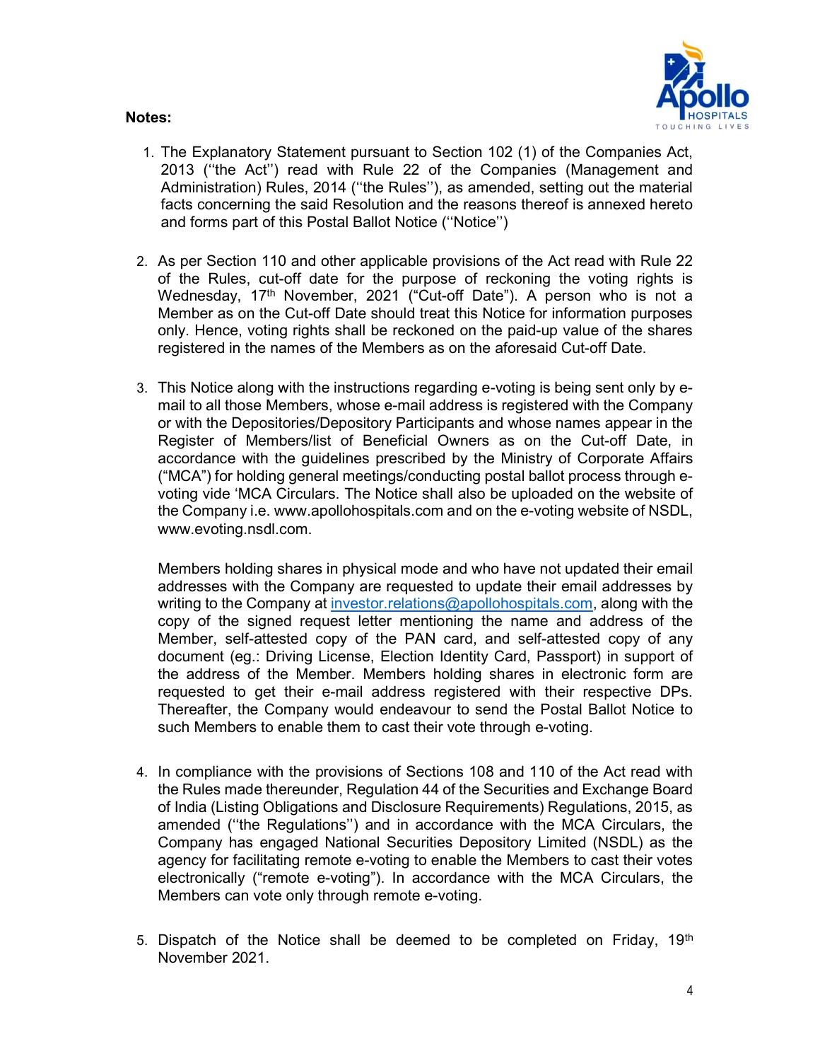#### Notes:



- 1. The Explanatory Statement pursuant to Section 102 (1) of the Companies Act, 2013 (''the Act'') read with Rule 22 of the Companies (Management and Administration) Rules, 2014 (''the Rules''), as amended, setting out the material facts concerning the said Resolution and the reasons thereof is annexed hereto and forms part of this Postal Ballot Notice (''Notice'')
- 2. As per Section 110 and other applicable provisions of the Act read with Rule 22 of the Rules, cut-off date for the purpose of reckoning the voting rights is Wednesday, 17th November, 2021 ("Cut-off Date"). A person who is not a Member as on the Cut-off Date should treat this Notice for information purposes only. Hence, voting rights shall be reckoned on the paid-up value of the shares registered in the names of the Members as on the aforesaid Cut-off Date.
- 3. This Notice along with the instructions regarding e-voting is being sent only by email to all those Members, whose e-mail address is registered with the Company or with the Depositories/Depository Participants and whose names appear in the Register of Members/list of Beneficial Owners as on the Cut-off Date, in accordance with the guidelines prescribed by the Ministry of Corporate Affairs ("MCA") for holding general meetings/conducting postal ballot process through evoting vide 'MCA Circulars. The Notice shall also be uploaded on the website of the Company i.e. www.apollohospitals.com and on the e-voting website of NSDL, www.evoting.nsdl.com.

Members holding shares in physical mode and who have not updated their email addresses with the Company are requested to update their email addresses by writing to the Company at investor.relations@apollohospitals.com, along with the copy of the signed request letter mentioning the name and address of the Member, self-attested copy of the PAN card, and self-attested copy of any document (eg.: Driving License, Election Identity Card, Passport) in support of the address of the Member. Members holding shares in electronic form are requested to get their e-mail address registered with their respective DPs. Thereafter, the Company would endeavour to send the Postal Ballot Notice to such Members to enable them to cast their vote through e-voting.

- 4. In compliance with the provisions of Sections 108 and 110 of the Act read with the Rules made thereunder, Regulation 44 of the Securities and Exchange Board of India (Listing Obligations and Disclosure Requirements) Regulations, 2015, as amended (''the Regulations'') and in accordance with the MCA Circulars, the Company has engaged National Securities Depository Limited (NSDL) as the agency for facilitating remote e-voting to enable the Members to cast their votes electronically ("remote e-voting"). In accordance with the MCA Circulars, the Members can vote only through remote e-voting.
- 5. Dispatch of the Notice shall be deemed to be completed on Friday,  $19<sup>th</sup>$ November 2021.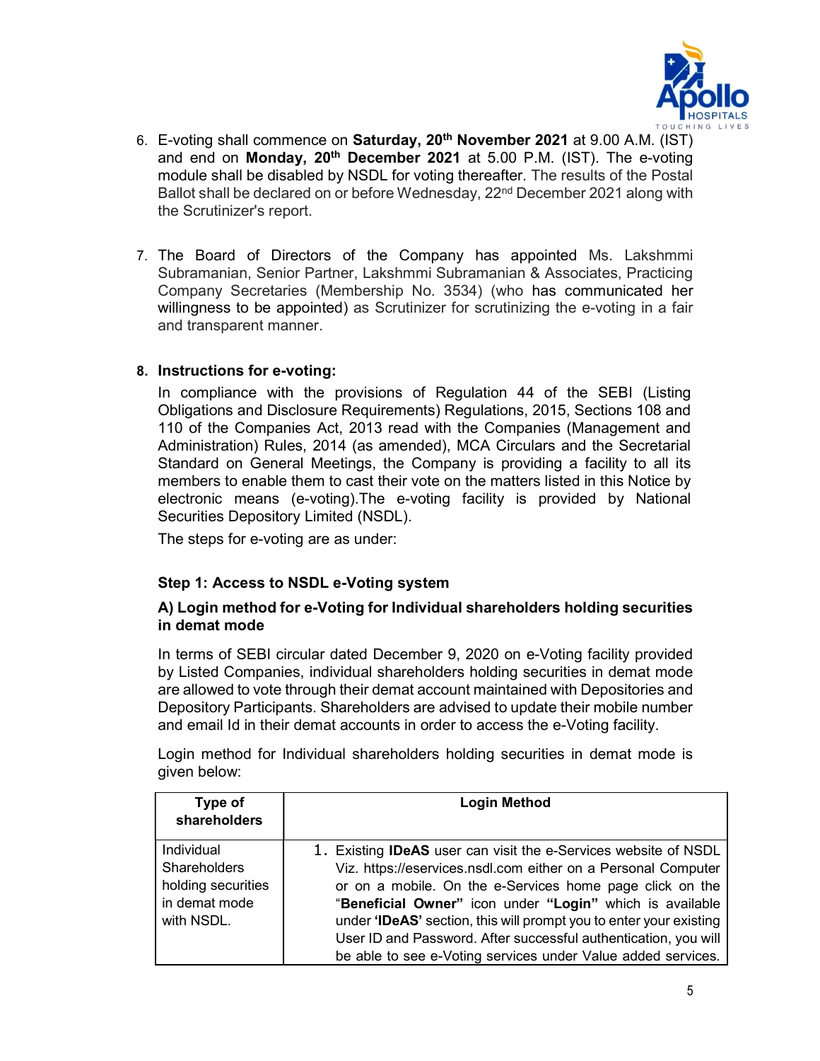

- 6. E-voting shall commence on Saturday, 20<sup>th</sup> November 2021 at 9.00 A.M. (IST) and end on Monday, 20<sup>th</sup> December 2021 at 5.00 P.M. (IST). The e-voting module shall be disabled by NSDL for voting thereafter. The results of the Postal Ballot shall be declared on or before Wednesday, 22<sup>nd</sup> December 2021 along with the Scrutinizer's report.
- 7. The Board of Directors of the Company has appointed Ms. Lakshmmi Subramanian, Senior Partner, Lakshmmi Subramanian & Associates, Practicing Company Secretaries (Membership No. 3534) (who has communicated her willingness to be appointed) as Scrutinizer for scrutinizing the e-voting in a fair and transparent manner.

## 8. Instructions for e-voting:

In compliance with the provisions of Regulation 44 of the SEBI (Listing Obligations and Disclosure Requirements) Regulations, 2015, Sections 108 and 110 of the Companies Act, 2013 read with the Companies (Management and Administration) Rules, 2014 (as amended), MCA Circulars and the Secretarial Standard on General Meetings, the Company is providing a facility to all its members to enable them to cast their vote on the matters listed in this Notice by electronic means (e-voting).The e-voting facility is provided by National Securities Depository Limited (NSDL).

The steps for e-voting are as under:

## Step 1: Access to NSDL e-Voting system

### A) Login method for e-Voting for Individual shareholders holding securities in demat mode

In terms of SEBI circular dated December 9, 2020 on e-Voting facility provided by Listed Companies, individual shareholders holding securities in demat mode are allowed to vote through their demat account maintained with Depositories and Depository Participants. Shareholders are advised to update their mobile number and email Id in their demat accounts in order to access the e-Voting facility.

Login method for Individual shareholders holding securities in demat mode is given below:

| <b>Login Method</b>                                                                                                                                                                                                                                                                                                                                                                                                                                                      |
|--------------------------------------------------------------------------------------------------------------------------------------------------------------------------------------------------------------------------------------------------------------------------------------------------------------------------------------------------------------------------------------------------------------------------------------------------------------------------|
| 1. Existing <b>IDeAS</b> user can visit the e-Services website of NSDL<br>Viz. https://eservices.nsdl.com either on a Personal Computer<br>or on a mobile. On the e-Services home page click on the<br>"Beneficial Owner" icon under "Login" which is available<br>under 'IDeAS' section, this will prompt you to enter your existing<br>User ID and Password. After successful authentication, you will<br>be able to see e-Voting services under Value added services. |
|                                                                                                                                                                                                                                                                                                                                                                                                                                                                          |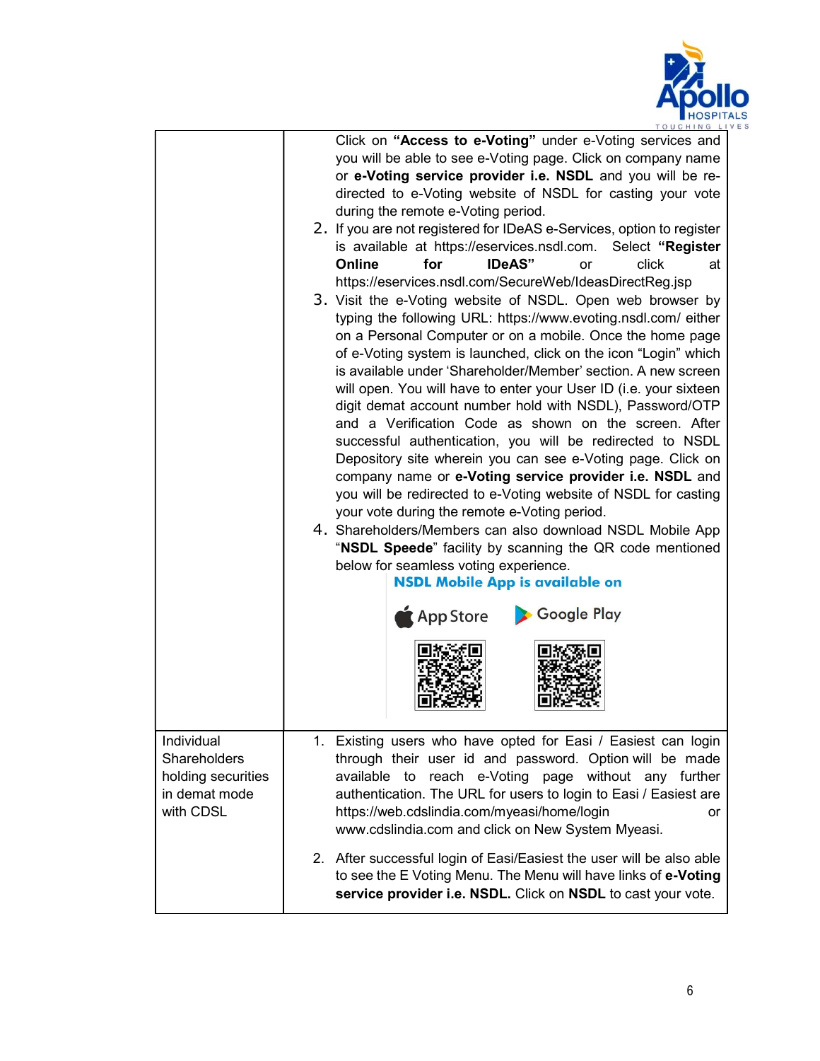

|                                                                                       | TOUCHING LI                                                                                                                                                                                                                                                                                                                                                                                                                                                                                                                                                                                                                                                                                                                                                                                                                                                                                                                                                                                                                                                                                                                                                                                                                                                                                                                                                                                                                                                                                                                                                                                                                            |
|---------------------------------------------------------------------------------------|----------------------------------------------------------------------------------------------------------------------------------------------------------------------------------------------------------------------------------------------------------------------------------------------------------------------------------------------------------------------------------------------------------------------------------------------------------------------------------------------------------------------------------------------------------------------------------------------------------------------------------------------------------------------------------------------------------------------------------------------------------------------------------------------------------------------------------------------------------------------------------------------------------------------------------------------------------------------------------------------------------------------------------------------------------------------------------------------------------------------------------------------------------------------------------------------------------------------------------------------------------------------------------------------------------------------------------------------------------------------------------------------------------------------------------------------------------------------------------------------------------------------------------------------------------------------------------------------------------------------------------------|
|                                                                                       | Click on "Access to e-Voting" under e-Voting services and<br>you will be able to see e-Voting page. Click on company name<br>or e-Voting service provider i.e. NSDL and you will be re-<br>directed to e-Voting website of NSDL for casting your vote<br>during the remote e-Voting period.<br>2. If you are not registered for IDeAS e-Services, option to register<br>is available at https://eservices.nsdl.com.<br>Select "Register<br>for<br><b>IDeAS</b> "<br>click<br>Online<br>at<br>or<br>https://eservices.nsdl.com/SecureWeb/IdeasDirectReg.jsp<br>3. Visit the e-Voting website of NSDL. Open web browser by<br>typing the following URL: https://www.evoting.nsdl.com/ either<br>on a Personal Computer or on a mobile. Once the home page<br>of e-Voting system is launched, click on the icon "Login" which<br>is available under 'Shareholder/Member' section. A new screen<br>will open. You will have to enter your User ID (i.e. your sixteen<br>digit demat account number hold with NSDL), Password/OTP<br>and a Verification Code as shown on the screen. After<br>successful authentication, you will be redirected to NSDL<br>Depository site wherein you can see e-Voting page. Click on<br>company name or e-Voting service provider i.e. NSDL and<br>you will be redirected to e-Voting website of NSDL for casting<br>your vote during the remote e-Voting period.<br>4. Shareholders/Members can also download NSDL Mobile App<br>"NSDL Speede" facility by scanning the QR code mentioned<br>below for seamless voting experience.<br><b>NSDL Mobile App is available on</b><br>Google Play<br>App Store |
| Individual<br><b>Shareholders</b><br>holding securities<br>in demat mode<br>with CDSL | 1. Existing users who have opted for Easi / Easiest can login<br>through their user id and password. Option will be made<br>available to reach e-Voting page without any further<br>authentication. The URL for users to login to Easi / Easiest are<br>https://web.cdslindia.com/myeasi/home/login<br>or<br>www.cdslindia.com and click on New System Myeasi.                                                                                                                                                                                                                                                                                                                                                                                                                                                                                                                                                                                                                                                                                                                                                                                                                                                                                                                                                                                                                                                                                                                                                                                                                                                                         |
|                                                                                       | 2. After successful login of Easi/Easiest the user will be also able<br>to see the E Voting Menu. The Menu will have links of e-Voting<br>service provider i.e. NSDL. Click on NSDL to cast your vote.                                                                                                                                                                                                                                                                                                                                                                                                                                                                                                                                                                                                                                                                                                                                                                                                                                                                                                                                                                                                                                                                                                                                                                                                                                                                                                                                                                                                                                 |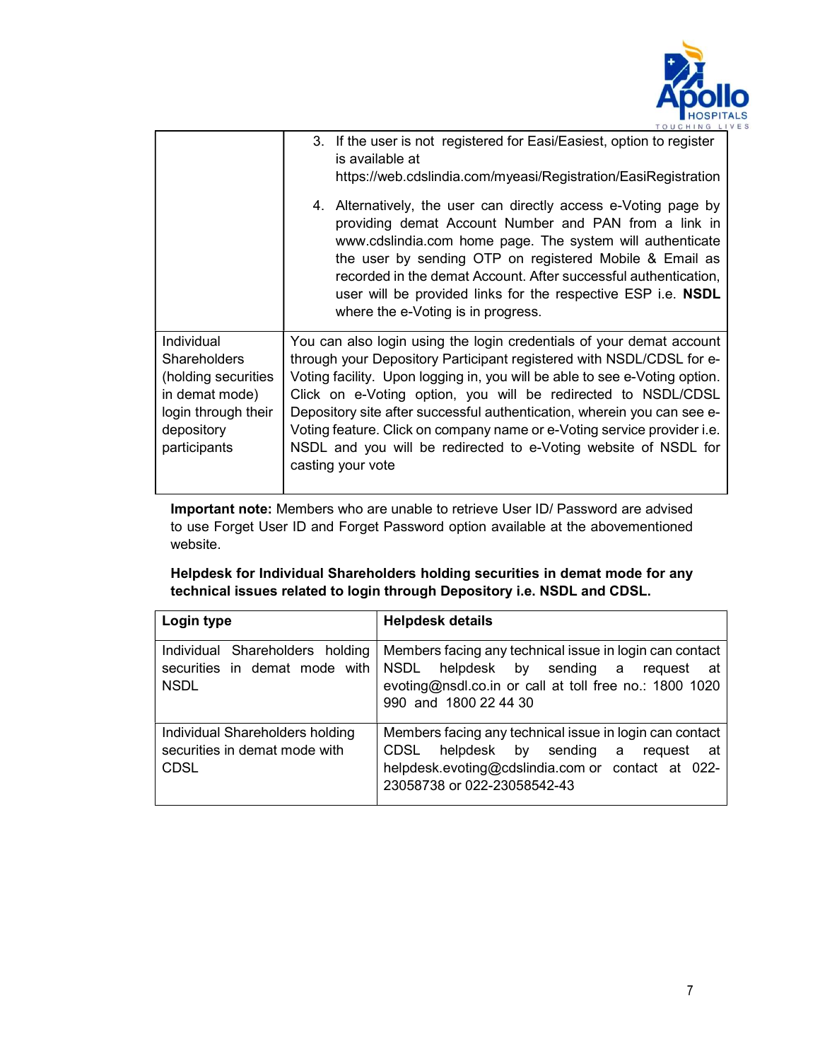

|                                                                                                                                 | 3. If the user is not registered for Easi/Easiest, option to register<br>is available at<br>https://web.cdslindia.com/myeasi/Registration/EasiRegistration                                                                                                                                                                                                                                                                                                                                                                                |
|---------------------------------------------------------------------------------------------------------------------------------|-------------------------------------------------------------------------------------------------------------------------------------------------------------------------------------------------------------------------------------------------------------------------------------------------------------------------------------------------------------------------------------------------------------------------------------------------------------------------------------------------------------------------------------------|
|                                                                                                                                 | 4. Alternatively, the user can directly access e-Voting page by<br>providing demat Account Number and PAN from a link in<br>www.cdslindia.com home page. The system will authenticate<br>the user by sending OTP on registered Mobile & Email as<br>recorded in the demat Account. After successful authentication,<br>user will be provided links for the respective ESP i.e. NSDL<br>where the e-Voting is in progress.                                                                                                                 |
| Individual<br><b>Shareholders</b><br>(holding securities<br>in demat mode)<br>login through their<br>depository<br>participants | You can also login using the login credentials of your demat account<br>through your Depository Participant registered with NSDL/CDSL for e-<br>Voting facility. Upon logging in, you will be able to see e-Voting option.<br>Click on e-Voting option, you will be redirected to NSDL/CDSL<br>Depository site after successful authentication, wherein you can see e-<br>Voting feature. Click on company name or e-Voting service provider i.e.<br>NSDL and you will be redirected to e-Voting website of NSDL for<br>casting your vote |

Important note: Members who are unable to retrieve User ID/ Password are advised to use Forget User ID and Forget Password option available at the abovementioned website.

Helpdesk for Individual Shareholders holding securities in demat mode for any technical issues related to login through Depository i.e. NSDL and CDSL.

| Login type                                                                      | <b>Helpdesk details</b>                                                                                                                                                              |
|---------------------------------------------------------------------------------|--------------------------------------------------------------------------------------------------------------------------------------------------------------------------------------|
| Individual Shareholders holding<br>securities in demat mode with<br><b>NSDL</b> | Members facing any technical issue in login can contact<br>NSDL helpdesk by sending a request at<br>evoting@nsdl.co.in or call at toll free no.: 1800 1020<br>990 and 1800 22 44 30  |
| Individual Shareholders holding<br>securities in demat mode with<br><b>CDSL</b> | Members facing any technical issue in login can contact<br>CDSL helpdesk by sending a request at<br>helpdesk.evoting@cdslindia.com or contact at 022-<br>23058738 or 022-23058542-43 |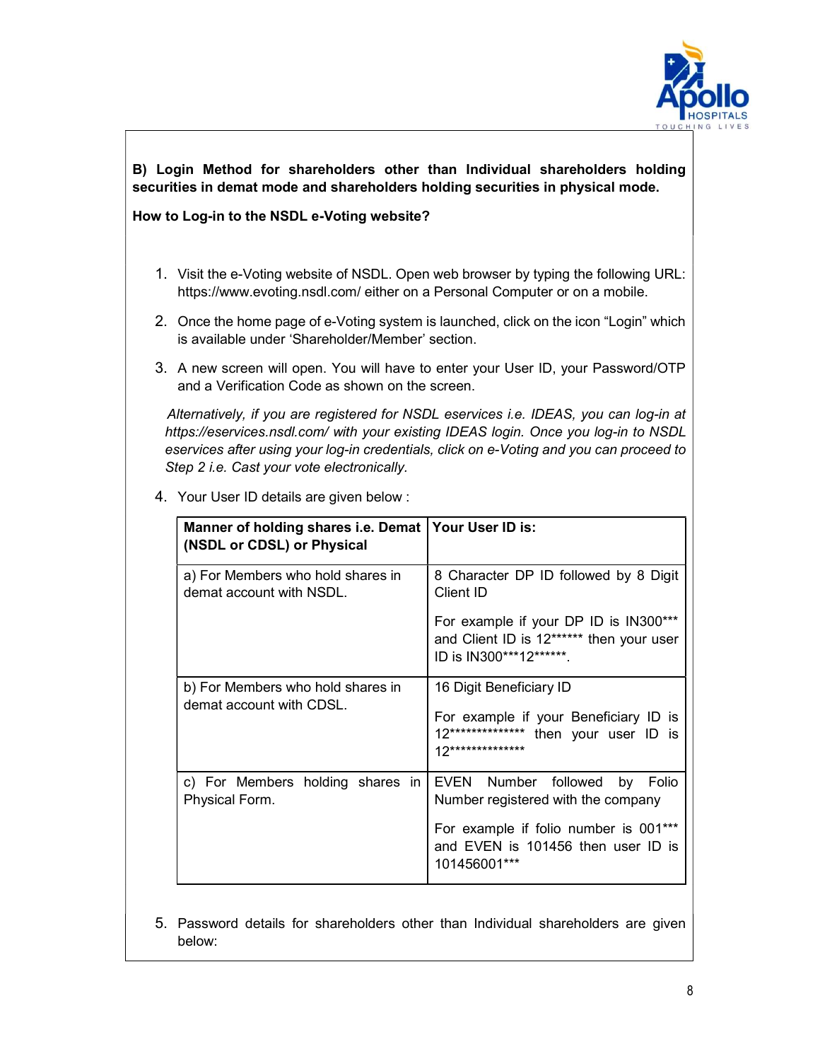

## B) Login Method for shareholders other than Individual shareholders holding securities in demat mode and shareholders holding securities in physical mode.

#### How to Log-in to the NSDL e-Voting website?

- 1. Visit the e-Voting website of NSDL. Open web browser by typing the following URL: https://www.evoting.nsdl.com/ either on a Personal Computer or on a mobile.
- 2. Once the home page of e-Voting system is launched, click on the icon "Login" which is available under 'Shareholder/Member' section.
- 3. A new screen will open. You will have to enter your User ID, your Password/OTP and a Verification Code as shown on the screen.

 Alternatively, if you are registered for NSDL eservices i.e. IDEAS, you can log-in at https://eservices.nsdl.com/ with your existing IDEAS login. Once you log-in to NSDL eservices after using your log-in credentials, click on e-Voting and you can proceed to Step 2 i.e. Cast your vote electronically.

| Manner of holding shares i.e. Demat   Your User ID is:<br>(NSDL or CDSL) or Physical |                                                                                                                                |
|--------------------------------------------------------------------------------------|--------------------------------------------------------------------------------------------------------------------------------|
| a) For Members who hold shares in<br>demat account with NSDL.                        | 8 Character DP ID followed by 8 Digit<br>Client ID                                                                             |
|                                                                                      | For example if your DP ID is IN300***<br>and Client ID is 12****** then your user<br>ID is IN300***12******.                   |
| b) For Members who hold shares in<br>demat account with CDSL.                        | 16 Digit Beneficiary ID<br>For example if your Beneficiary ID is<br>12*************** then your user ID is<br>12************** |
| c) For Members holding shares in<br>Physical Form.                                   | EVEN Number followed by Folio<br>Number registered with the company                                                            |
|                                                                                      | For example if folio number is 001***<br>and EVEN is 101456 then user ID is<br>101456001***                                    |

4. Your User ID details are given below :

5. Password details for shareholders other than Individual shareholders are given below: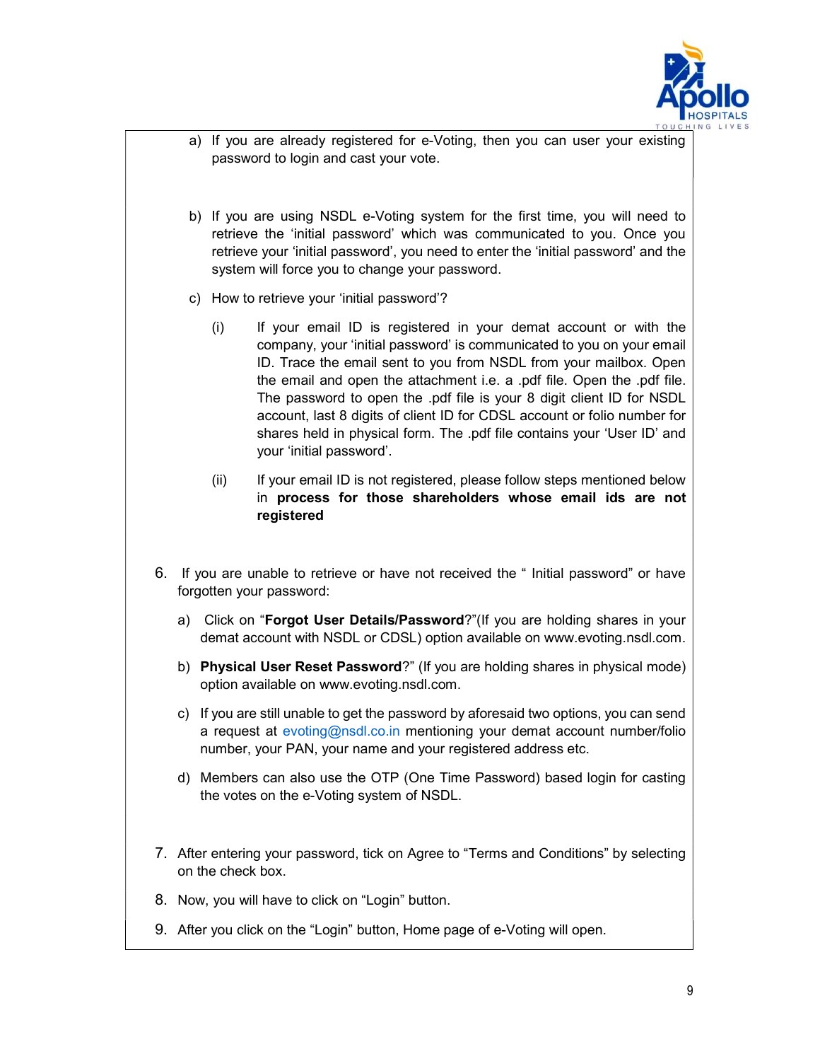

- a) If you are already registered for e-Voting, then you can user your existing password to login and cast your vote.
- b) If you are using NSDL e-Voting system for the first time, you will need to retrieve the 'initial password' which was communicated to you. Once you retrieve your 'initial password', you need to enter the 'initial password' and the system will force you to change your password.
- c) How to retrieve your 'initial password'?
	- (i) If your email ID is registered in your demat account or with the company, your 'initial password' is communicated to you on your email ID. Trace the email sent to you from NSDL from your mailbox. Open the email and open the attachment i.e. a .pdf file. Open the .pdf file. The password to open the .pdf file is your 8 digit client ID for NSDL account, last 8 digits of client ID for CDSL account or folio number for shares held in physical form. The .pdf file contains your 'User ID' and your 'initial password'.
	- (ii) If your email ID is not registered, please follow steps mentioned below in process for those shareholders whose email ids are not registered
- 6. If you are unable to retrieve or have not received the " Initial password" or have forgotten your password:
	- a) Click on "Forgot User Details/Password?"(If you are holding shares in your demat account with NSDL or CDSL) option available on www.evoting.nsdl.com.
	- b) Physical User Reset Password?" (If you are holding shares in physical mode) option available on www.evoting.nsdl.com.
	- c) If you are still unable to get the password by aforesaid two options, you can send a request at evoting@nsdl.co.in mentioning your demat account number/folio number, your PAN, your name and your registered address etc.
	- d) Members can also use the OTP (One Time Password) based login for casting the votes on the e-Voting system of NSDL.
- 7. After entering your password, tick on Agree to "Terms and Conditions" by selecting on the check box.
- 8. Now, you will have to click on "Login" button.
- 9. After you click on the "Login" button, Home page of e-Voting will open.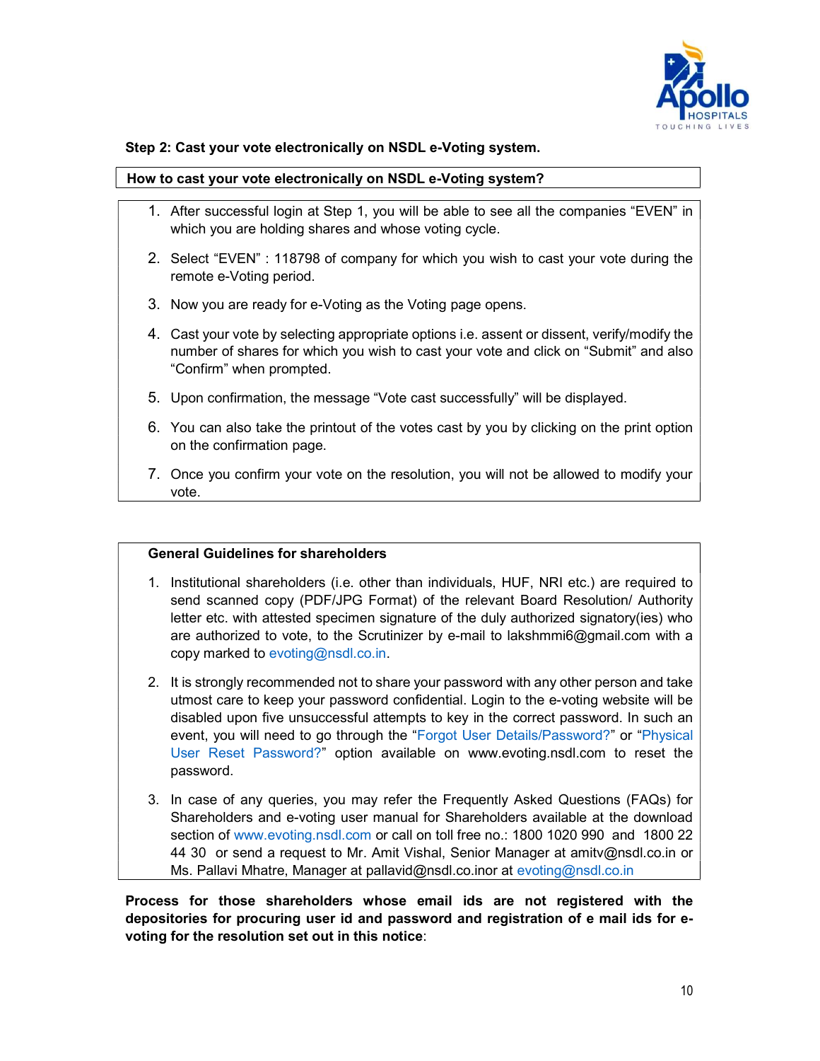

#### Step 2: Cast your vote electronically on NSDL e-Voting system.

#### How to cast your vote electronically on NSDL e-Voting system?

- 1. After successful login at Step 1, you will be able to see all the companies "EVEN" in which you are holding shares and whose voting cycle.
- 2. Select "EVEN" : 118798 of company for which you wish to cast your vote during the remote e-Voting period.
- 3. Now you are ready for e-Voting as the Voting page opens.
- 4. Cast your vote by selecting appropriate options i.e. assent or dissent, verify/modify the number of shares for which you wish to cast your vote and click on "Submit" and also "Confirm" when prompted.
- 5. Upon confirmation, the message "Vote cast successfully" will be displayed.
- 6. You can also take the printout of the votes cast by you by clicking on the print option on the confirmation page.
- 7. Once you confirm your vote on the resolution, you will not be allowed to modify your vote.

#### General Guidelines for shareholders

- 1. Institutional shareholders (i.e. other than individuals, HUF, NRI etc.) are required to send scanned copy (PDF/JPG Format) of the relevant Board Resolution/ Authority letter etc. with attested specimen signature of the duly authorized signatory(ies) who are authorized to vote, to the Scrutinizer by e-mail to lakshmmi6@gmail.com with a copy marked to evoting@nsdl.co.in.
- 2. It is strongly recommended not to share your password with any other person and take utmost care to keep your password confidential. Login to the e-voting website will be disabled upon five unsuccessful attempts to key in the correct password. In such an event, you will need to go through the "Forgot User Details/Password?" or "Physical User Reset Password?" option available on www.evoting.nsdl.com to reset the password.
- 3. In case of any queries, you may refer the Frequently Asked Questions (FAQs) for Shareholders and e-voting user manual for Shareholders available at the download section of www.evoting.nsdl.com or call on toll free no.: 1800 1020 990 and 1800 22 44 30 or send a request to Mr. Amit Vishal, Senior Manager at amitv@nsdl.co.in or Ms. Pallavi Mhatre, Manager at pallavid@nsdl.co.inor at evoting@nsdl.co.in

Process for those shareholders whose email ids are not registered with the depositories for procuring user id and password and registration of e mail ids for evoting for the resolution set out in this notice: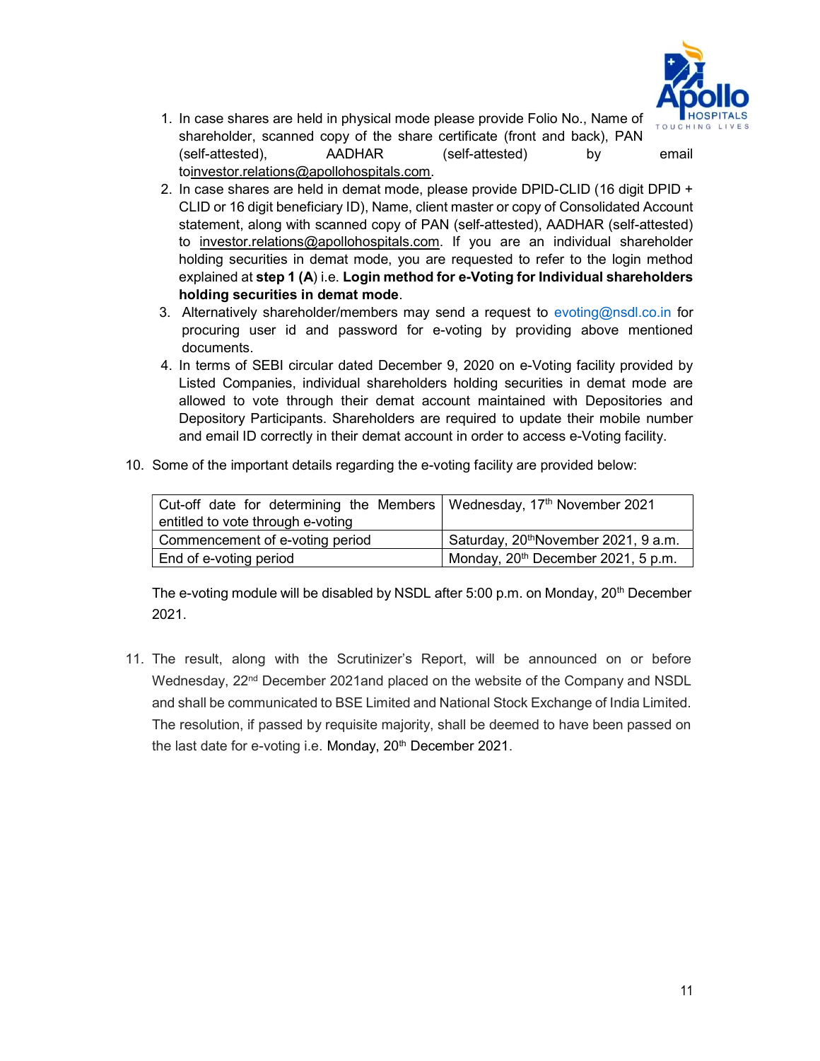

- 1. In case shares are held in physical mode please provide Folio No., Name of shareholder, scanned copy of the share certificate (front and back), PAN (self-attested), AADHAR (self-attested) by email toinvestor.relations@apollohospitals.com.
- 2. In case shares are held in demat mode, please provide DPID-CLID (16 digit DPID + CLID or 16 digit beneficiary ID), Name, client master or copy of Consolidated Account statement, along with scanned copy of PAN (self-attested), AADHAR (self-attested) to investor.relations@apollohospitals.com. If you are an individual shareholder holding securities in demat mode, you are requested to refer to the login method explained at step 1 (A) i.e. Login method for e-Voting for Individual shareholders holding securities in demat mode.
- 3. Alternatively shareholder/members may send a request to evoting@nsdl.co.in for procuring user id and password for e-voting by providing above mentioned documents.
- 4. In terms of SEBI circular dated December 9, 2020 on e-Voting facility provided by Listed Companies, individual shareholders holding securities in demat mode are allowed to vote through their demat account maintained with Depositories and Depository Participants. Shareholders are required to update their mobile number and email ID correctly in their demat account in order to access e-Voting facility.
- 10. Some of the important details regarding the e-voting facility are provided below:

| Cut-off date for determining the Members   Wednesday, $17th$ November 2021 |                                                  |
|----------------------------------------------------------------------------|--------------------------------------------------|
| entitled to vote through e-voting                                          |                                                  |
| Commencement of e-voting period                                            | Saturday, 20 <sup>th</sup> November 2021, 9 a.m. |
| End of e-voting period                                                     | Monday, 20 <sup>th</sup> December 2021, 5 p.m.   |

The e-voting module will be disabled by NSDL after 5:00 p.m. on Monday,  $20<sup>th</sup>$  December 2021.

11. The result, along with the Scrutinizer's Report, will be announced on or before Wednesday, 22<sup>nd</sup> December 2021and placed on the website of the Company and NSDL and shall be communicated to BSE Limited and National Stock Exchange of India Limited. The resolution, if passed by requisite majority, shall be deemed to have been passed on the last date for e-voting i.e. Monday, 20<sup>th</sup> December 2021.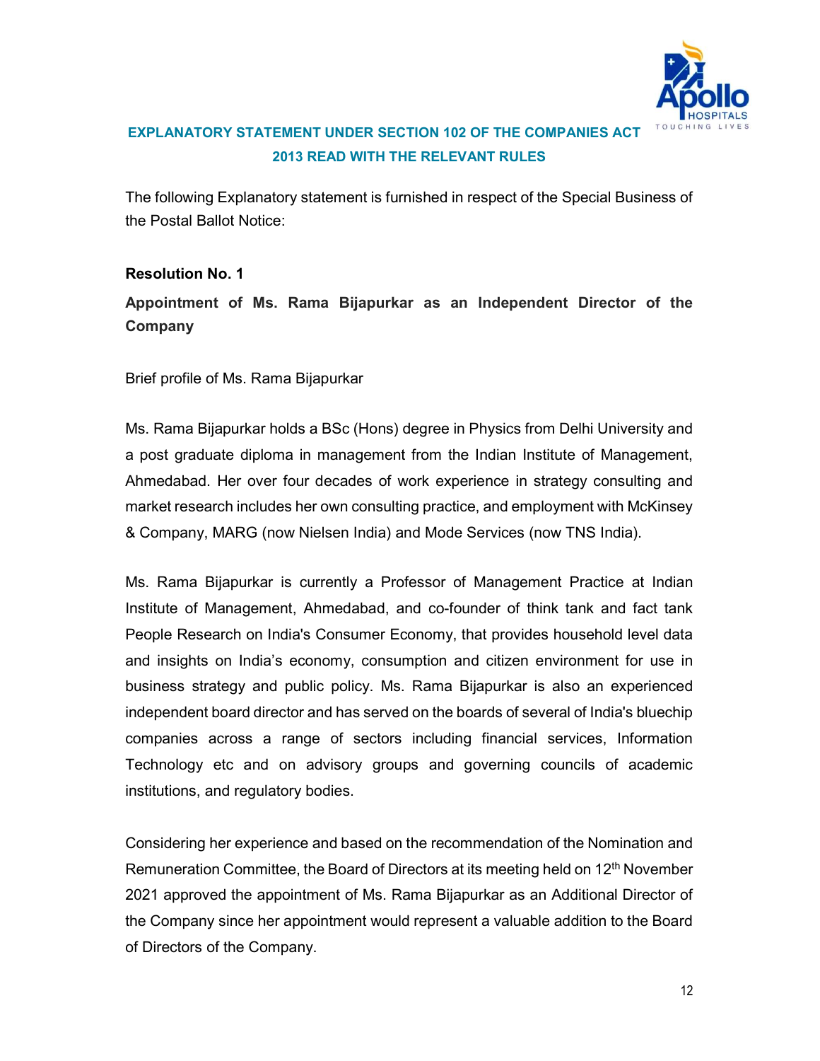

# EXPLANATORY STATEMENT UNDER SECTION 102 OF THE COMPANIES ACT 2013 READ WITH THE RELEVANT RULES

The following Explanatory statement is furnished in respect of the Special Business of the Postal Ballot Notice:

Resolution No. 1 Appointment of Ms. Rama Bijapurkar as an Independent Director of the

Company

Brief profile of Ms. Rama Bijapurkar

Ms. Rama Bijapurkar holds a BSc (Hons) degree in Physics from Delhi University and a post graduate diploma in management from the Indian Institute of Management, Ahmedabad. Her over four decades of work experience in strategy consulting and market research includes her own consulting practice, and employment with McKinsey & Company, MARG (now Nielsen India) and Mode Services (now TNS India).

Ms. Rama Bijapurkar is currently a Professor of Management Practice at Indian Institute of Management, Ahmedabad, and co-founder of think tank and fact tank People Research on India's Consumer Economy, that provides household level data and insights on India's economy, consumption and citizen environment for use in business strategy and public policy. Ms. Rama Bijapurkar is also an experienced independent board director and has served on the boards of several of India's bluechip companies across a range of sectors including financial services, Information Technology etc and on advisory groups and governing councils of academic institutions, and regulatory bodies.

Considering her experience and based on the recommendation of the Nomination and Remuneration Committee, the Board of Directors at its meeting held on 12<sup>th</sup> November 2021 approved the appointment of Ms. Rama Bijapurkar as an Additional Director of the Company since her appointment would represent a valuable addition to the Board of Directors of the Company.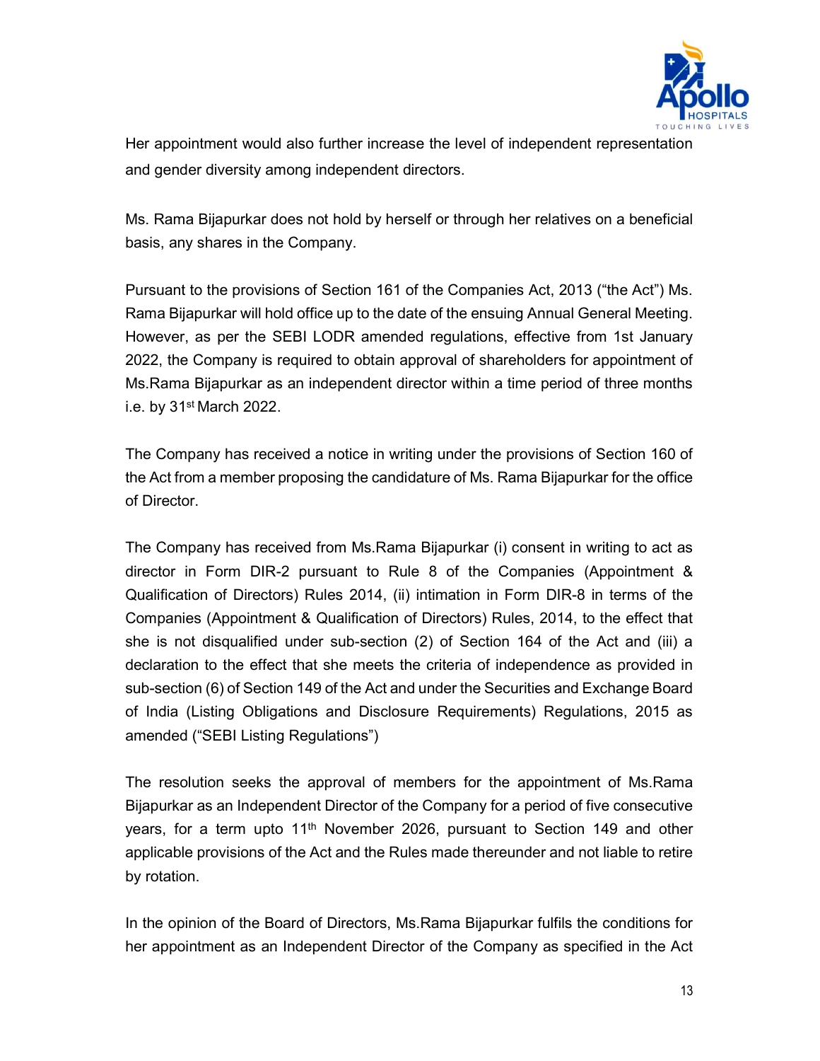

Her appointment would also further increase the level of independent representation and gender diversity among independent directors.

Ms. Rama Bijapurkar does not hold by herself or through her relatives on a beneficial basis, any shares in the Company.

Pursuant to the provisions of Section 161 of the Companies Act, 2013 ("the Act") Ms. Rama Bijapurkar will hold office up to the date of the ensuing Annual General Meeting. However, as per the SEBI LODR amended regulations, effective from 1st January 2022, the Company is required to obtain approval of shareholders for appointment of Ms.Rama Bijapurkar as an independent director within a time period of three months i.e. by 31st March 2022.

The Company has received a notice in writing under the provisions of Section 160 of the Act from a member proposing the candidature of Ms. Rama Bijapurkar for the office of Director.

The Company has received from Ms.Rama Bijapurkar (i) consent in writing to act as director in Form DIR-2 pursuant to Rule 8 of the Companies (Appointment & Qualification of Directors) Rules 2014, (ii) intimation in Form DIR-8 in terms of the Companies (Appointment & Qualification of Directors) Rules, 2014, to the effect that she is not disqualified under sub-section (2) of Section 164 of the Act and (iii) a declaration to the effect that she meets the criteria of independence as provided in sub-section (6) of Section 149 of the Act and under the Securities and Exchange Board of India (Listing Obligations and Disclosure Requirements) Regulations, 2015 as amended ("SEBI Listing Regulations")

The resolution seeks the approval of members for the appointment of Ms.Rama Bijapurkar as an Independent Director of the Company for a period of five consecutive years, for a term upto 11<sup>th</sup> November 2026, pursuant to Section 149 and other applicable provisions of the Act and the Rules made thereunder and not liable to retire by rotation.

In the opinion of the Board of Directors, Ms.Rama Bijapurkar fulfils the conditions for her appointment as an Independent Director of the Company as specified in the Act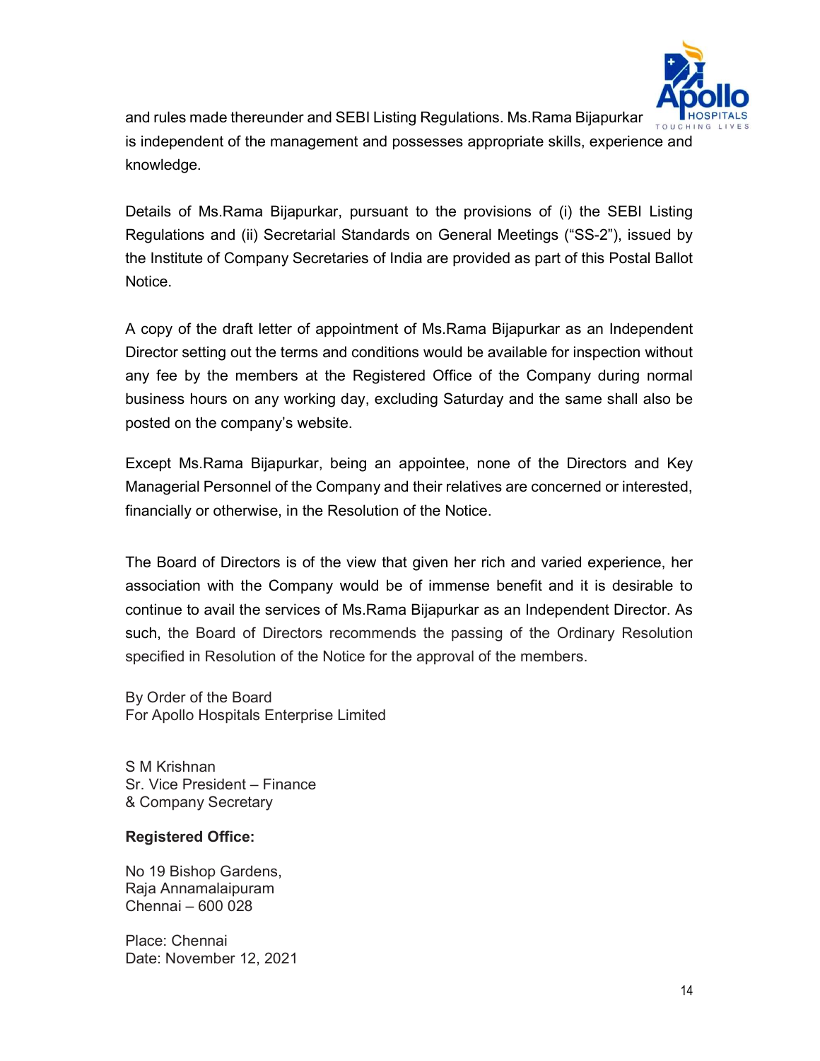

and rules made thereunder and SEBI Listing Regulations. Ms.Rama Bijapurkar is independent of the management and possesses appropriate skills, experience and knowledge.

Details of Ms.Rama Bijapurkar, pursuant to the provisions of (i) the SEBI Listing Regulations and (ii) Secretarial Standards on General Meetings ("SS-2"), issued by the Institute of Company Secretaries of India are provided as part of this Postal Ballot Notice.

A copy of the draft letter of appointment of Ms.Rama Bijapurkar as an Independent Director setting out the terms and conditions would be available for inspection without any fee by the members at the Registered Office of the Company during normal business hours on any working day, excluding Saturday and the same shall also be posted on the company's website.

Except Ms.Rama Bijapurkar, being an appointee, none of the Directors and Key Managerial Personnel of the Company and their relatives are concerned or interested, financially or otherwise, in the Resolution of the Notice.

The Board of Directors is of the view that given her rich and varied experience, her association with the Company would be of immense benefit and it is desirable to continue to avail the services of Ms.Rama Bijapurkar as an Independent Director. As such, the Board of Directors recommends the passing of the Ordinary Resolution specified in Resolution of the Notice for the approval of the members.

By Order of the Board For Apollo Hospitals Enterprise Limited

S M Krishnan Sr. Vice President – Finance & Company Secretary

### Registered Office:

No 19 Bishop Gardens, Raja Annamalaipuram Chennai – 600 028

Place: Chennai Date: November 12, 2021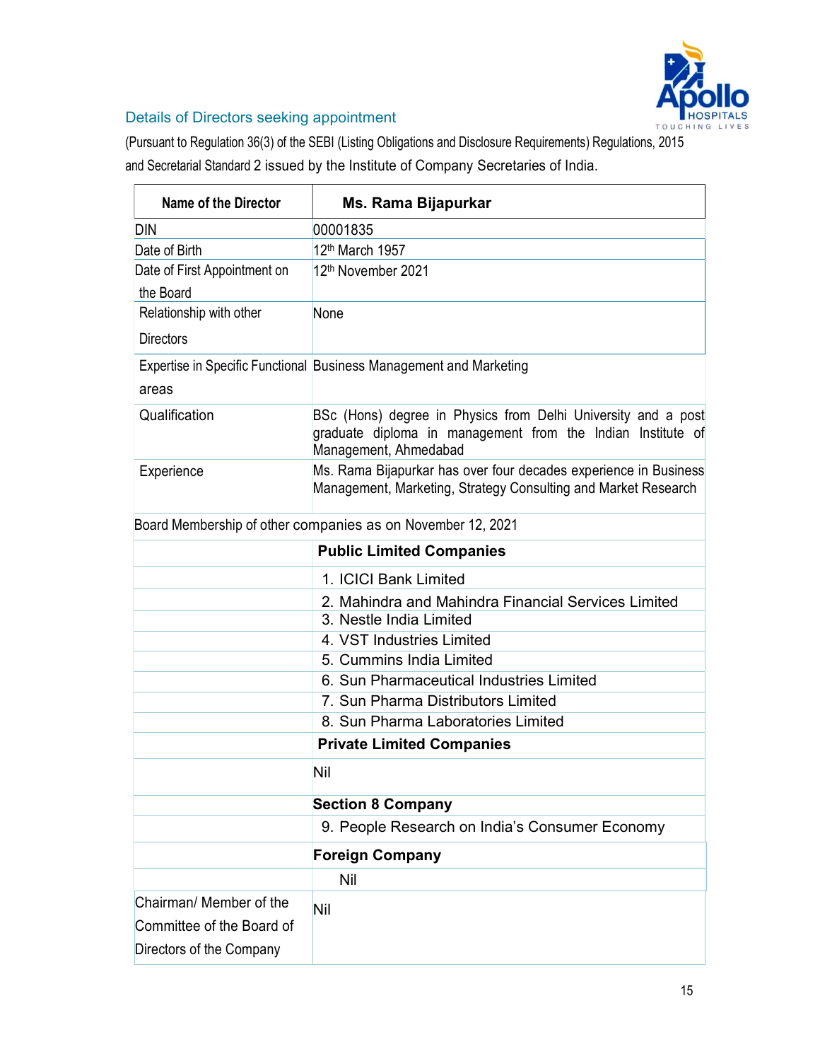

# Details of Directors seeking appointment

(Pursuant to Regulation 36(3) of the SEBI (Listing Obligations and Disclosure Requirements) Regulations, 2015 and Secretarial Standard 2 issued by the Institute of Company Secretaries of India.

| <b>Name of the Director</b>  | Ms. Rama Bijapurkar                                                                                                                                   |
|------------------------------|-------------------------------------------------------------------------------------------------------------------------------------------------------|
| <b>DIN</b>                   | 00001835                                                                                                                                              |
| Date of Birth                | 12 <sup>th</sup> March 1957                                                                                                                           |
| Date of First Appointment on | 12th November 2021                                                                                                                                    |
| the Board                    |                                                                                                                                                       |
| Relationship with other      | None                                                                                                                                                  |
| <b>Directors</b>             |                                                                                                                                                       |
| areas                        | Expertise in Specific Functional Business Management and Marketing                                                                                    |
| Qualification                | BSc (Hons) degree in Physics from Delhi University and a post<br>graduate diploma in management from the Indian Institute of<br>Management, Ahmedabad |
| Experience                   | Ms. Rama Bijapurkar has over four decades experience in Business<br>Management, Marketing, Strategy Consulting and Market Research                    |
|                              | Board Membership of other companies as on November 12, 2021                                                                                           |
|                              | <b>Public Limited Companies</b>                                                                                                                       |
|                              | 1. ICICI Bank Limited                                                                                                                                 |
|                              | 2. Mahindra and Mahindra Financial Services Limited                                                                                                   |
|                              | 3. Nestle India Limited                                                                                                                               |
|                              | 4. VST Industries Limited                                                                                                                             |
|                              | 5. Cummins India Limited                                                                                                                              |
|                              | 6. Sun Pharmaceutical Industries Limited                                                                                                              |
|                              | 7. Sun Pharma Distributors Limited                                                                                                                    |
|                              | 8. Sun Pharma Laboratories Limited                                                                                                                    |
|                              | <b>Private Limited Companies</b>                                                                                                                      |
|                              | <b>Nil</b>                                                                                                                                            |
|                              | <b>Section 8 Company</b>                                                                                                                              |
|                              | 9. People Research on India's Consumer Economy                                                                                                        |
|                              | <b>Foreign Company</b>                                                                                                                                |
|                              | Nil                                                                                                                                                   |
| Chairman/ Member of the      | Nil                                                                                                                                                   |
| Committee of the Board of    |                                                                                                                                                       |
| Directors of the Company     |                                                                                                                                                       |